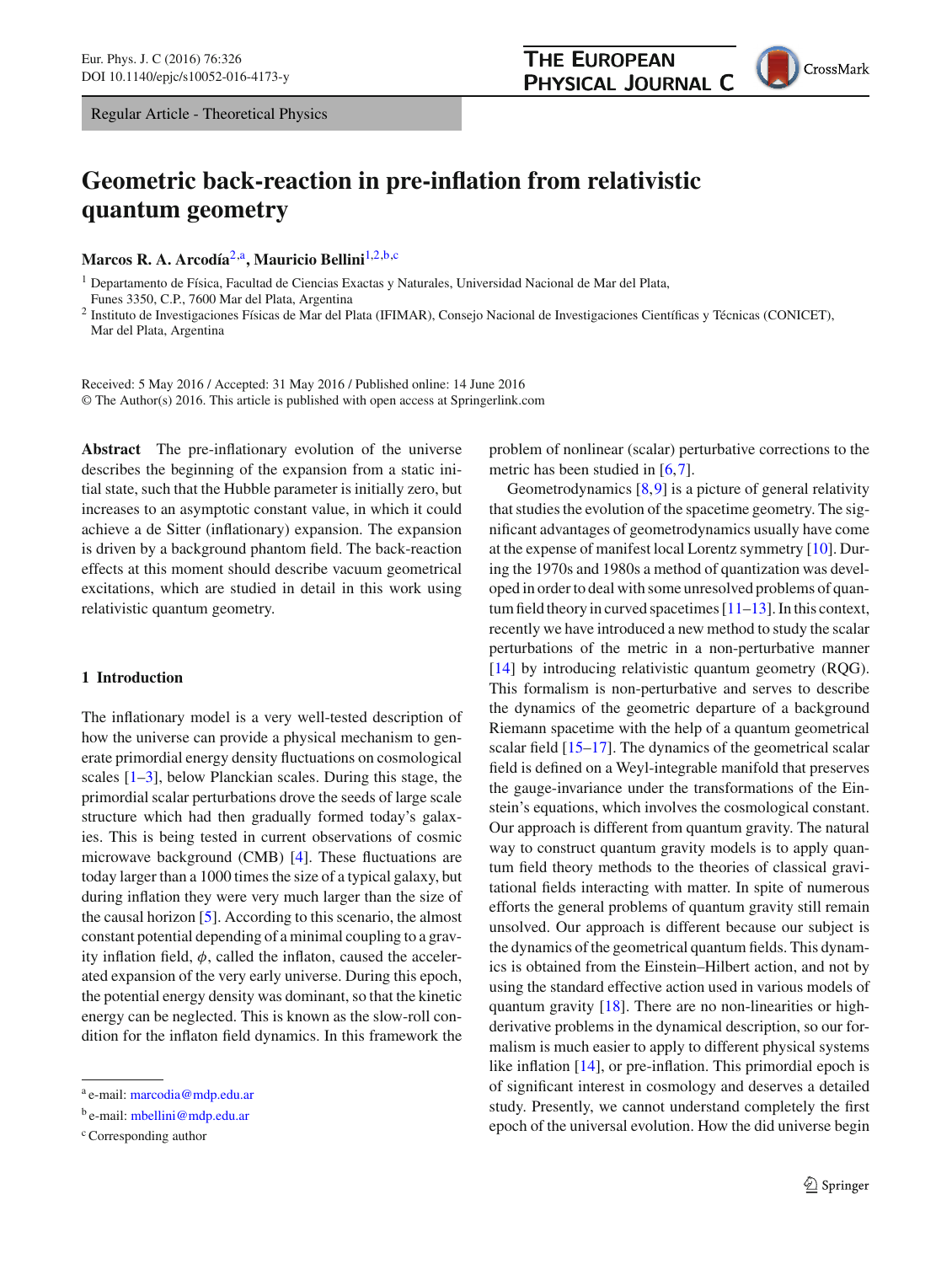Regular Article - Theoretical Physics

# **Geometric back-reaction in pre-inflation from relativistic quantum geometry**

**Marcos R. A. Arcodía**[2,](#page-0-0)a**, Mauricio Bellini**[1,2,](#page-0-0)b,c

<sup>1</sup> Departamento de Física, Facultad de Ciencias Exactas y Naturales, Universidad Nacional de Mar del Plata, Funes 3350, C.P., 7600 Mar del Plata, Argentina

<sup>2</sup> Instituto de Investigaciones Físicas de Mar del Plata (IFIMAR), Consejo Nacional de Investigaciones Científicas y Técnicas (CONICET), Mar del Plata, Argentina

Received: 5 May 2016 / Accepted: 31 May 2016 / Published online: 14 June 2016 © The Author(s) 2016. This article is published with open access at Springerlink.com

**Abstract** The pre-inflationary evolution of the universe describes the beginning of the expansion from a static initial state, such that the Hubble parameter is initially zero, but increases to an asymptotic constant value, in which it could achieve a de Sitter (inflationary) expansion. The expansion is driven by a background phantom field. The back-reaction effects at this moment should describe vacuum geometrical excitations, which are studied in detail in this work using relativistic quantum geometry.

# **1 Introduction**

The inflationary model is a very well-tested description of how the universe can provide a physical mechanism to generate primordial energy density fluctuations on cosmological scales [\[1](#page-4-0)[–3\]](#page-4-1), below Planckian scales. During this stage, the primordial scalar perturbations drove the seeds of large scale structure which had then gradually formed today's galaxies. This is being tested in current observations of cosmic microwave background (CMB) [\[4\]](#page-5-0). These fluctuations are today larger than a 1000 times the size of a typical galaxy, but during inflation they were very much larger than the size of the causal horizon [\[5\]](#page-5-1). According to this scenario, the almost constant potential depending of a minimal coupling to a gravity inflation field,  $\phi$ , called the inflaton, caused the accelerated expansion of the very early universe. During this epoch, the potential energy density was dominant, so that the kinetic energy can be neglected. This is known as the slow-roll condition for the inflaton field dynamics. In this framework the <span id="page-0-0"></span>problem of nonlinear (scalar) perturbative corrections to the metric has been studied in [\[6](#page-5-2)[,7](#page-5-3)].

**THE EUROPEAN** 

PHYSICAL JOURNAL C

Geometrodynamics  $[8, 9]$  $[8, 9]$  is a picture of general relativity that studies the evolution of the spacetime geometry. The significant advantages of geometrodynamics usually have come at the expense of manifest local Lorentz symmetry [\[10](#page-5-6)]. During the 1970s and 1980s a method of quantization was developed in order to deal with some unresolved problems of quantum field theory in curved spacetimes  $[11-13]$  $[11-13]$ . In this context, recently we have introduced a new method to study the scalar perturbations of the metric in a non-perturbative manner [\[14](#page-5-9)] by introducing relativistic quantum geometry (RQG). This formalism is non-perturbative and serves to describe the dynamics of the geometric departure of a background Riemann spacetime with the help of a quantum geometrical scalar field [\[15](#page-5-10)[–17](#page-5-11)]. The dynamics of the geometrical scalar field is defined on a Weyl-integrable manifold that preserves the gauge-invariance under the transformations of the Einstein's equations, which involves the cosmological constant. Our approach is different from quantum gravity. The natural way to construct quantum gravity models is to apply quantum field theory methods to the theories of classical gravitational fields interacting with matter. In spite of numerous efforts the general problems of quantum gravity still remain unsolved. Our approach is different because our subject is the dynamics of the geometrical quantum fields. This dynamics is obtained from the Einstein–Hilbert action, and not by using the standard effective action used in various models of quantum gravity [\[18](#page-5-12)]. There are no non-linearities or highderivative problems in the dynamical description, so our formalism is much easier to apply to different physical systems like inflation [\[14\]](#page-5-9), or pre-inflation. This primordial epoch is of significant interest in cosmology and deserves a detailed study. Presently, we cannot understand completely the first epoch of the universal evolution. How the did universe begin

<sup>a</sup> e-mail: [marcodia@mdp.edu.ar](mailto:marcodia@mdp.edu.ar)

<sup>b</sup> e-mail: [mbellini@mdp.edu.ar](mailto:mbellini@mdp.edu.ar)

<sup>c</sup> Corresponding author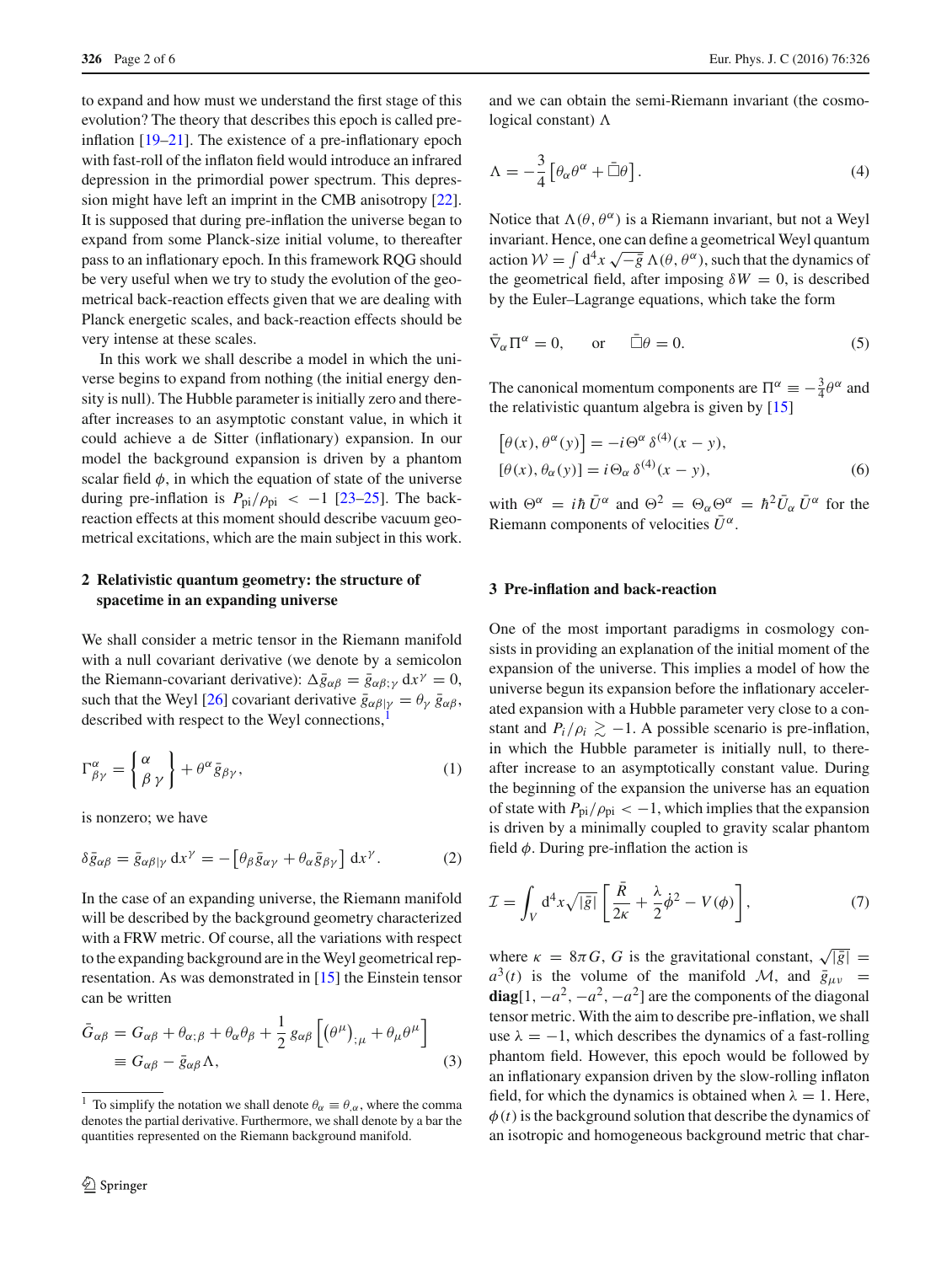to expand and how must we understand the first stage of this evolution? The theory that describes this epoch is called preinflation [\[19](#page-5-13)[–21](#page-5-14)]. The existence of a pre-inflationary epoch with fast-roll of the inflaton field would introduce an infrared depression in the primordial power spectrum. This depression might have left an imprint in the CMB anisotropy [\[22](#page-5-15)]. It is supposed that during pre-inflation the universe began to expand from some Planck-size initial volume, to thereafter pass to an inflationary epoch. In this framework RQG should be very useful when we try to study the evolution of the geometrical back-reaction effects given that we are dealing with Planck energetic scales, and back-reaction effects should be very intense at these scales.

In this work we shall describe a model in which the universe begins to expand from nothing (the initial energy density is null). The Hubble parameter is initially zero and thereafter increases to an asymptotic constant value, in which it could achieve a de Sitter (inflationary) expansion. In our model the background expansion is driven by a phantom scalar field  $\phi$ , in which the equation of state of the universe during pre-inflation is  $P_{pi}/\rho_{pi} < -1$  [\[23](#page-5-16)[–25\]](#page-5-17). The backreaction effects at this moment should describe vacuum geometrical excitations, which are the main subject in this work.

# **2 Relativistic quantum geometry: the structure of spacetime in an expanding universe**

We shall consider a metric tensor in the Riemann manifold with a null covariant derivative (we denote by a semicolon the Riemann-covariant derivative):  $\Delta \bar{g}_{\alpha\beta} = \bar{g}_{\alpha\beta;\gamma} dx^{\gamma} = 0$ , such that the Weyl [\[26\]](#page-5-18) covariant derivative  $\bar{g}_{\alpha\beta|\gamma} = \theta_{\gamma} \bar{g}_{\alpha\beta}$ , described with respect to the Weyl connections,

$$
\Gamma^{\alpha}_{\beta\gamma} = \begin{Bmatrix} \alpha \\ \beta \gamma \end{Bmatrix} + \theta^{\alpha} \bar{g}_{\beta\gamma},\tag{1}
$$

is nonzero; we have

$$
\delta \bar{g}_{\alpha\beta} = \bar{g}_{\alpha\beta|\gamma} dx^{\gamma} = -\left[\theta_{\beta} \bar{g}_{\alpha\gamma} + \theta_{\alpha} \bar{g}_{\beta\gamma}\right] dx^{\gamma}.
$$
 (2)

In the case of an expanding universe, the Riemann manifold will be described by the background geometry characterized with a FRW metric. Of course, all the variations with respect to the expanding background are in the Weyl geometrical representation. As was demonstrated in [\[15\]](#page-5-10) the Einstein tensor can be written

$$
\bar{G}_{\alpha\beta} = G_{\alpha\beta} + \theta_{\alpha;\beta} + \theta_{\alpha}\theta_{\beta} + \frac{1}{2}g_{\alpha\beta}\left[\left(\theta^{\mu}\right)_{;\mu} + \theta_{\mu}\theta^{\mu}\right] \n\equiv G_{\alpha\beta} - \bar{g}_{\alpha\beta}\Lambda,
$$
\n(3)

and we can obtain the semi-Riemann invariant (the cosmological constant)  $\Lambda$ 

$$
\Lambda = -\frac{3}{4} \left[ \theta_{\alpha} \theta^{\alpha} + \bar{\Box} \theta \right]. \tag{4}
$$

Notice that  $\Lambda(\theta, \theta^{\alpha})$  is a Riemann invariant, but not a Weyl invariant. Hence, one can define a geometrical Weyl quantum action  $W = \int d^4x \sqrt{-\bar{g}} \Lambda(\theta, \theta^{\alpha})$ , such that the dynamics of the geometrical field, after imposing  $\delta W = 0$ , is described by the Euler–Lagrange equations, which take the form

$$
\bar{\nabla}_{\alpha} \Pi^{\alpha} = 0, \quad \text{or} \quad \bar{\Box} \theta = 0. \tag{5}
$$

The canonical momentum components are  $\Pi^{\alpha} \equiv -\frac{3}{4}\theta^{\alpha}$  and the relativistic quantum algebra is given by [\[15](#page-5-10)]

<span id="page-1-1"></span>
$$
[\theta(x), \theta^{\alpha}(y)] = -i\Theta^{\alpha} \delta^{(4)}(x - y),
$$
  

$$
[\theta(x), \theta_{\alpha}(y)] = i\Theta_{\alpha} \delta^{(4)}(x - y),
$$
 (6)

with  $\Theta^{\alpha} = i\hbar \bar{U}^{\alpha}$  and  $\Theta^2 = \Theta_{\alpha} \Theta^{\alpha} = \hbar^2 \bar{U}_{\alpha} \bar{U}^{\alpha}$  for the Riemann components of velocities  $\bar{U}^{\alpha}$ .

#### **3 Pre-inflation and back-reaction**

One of the most important paradigms in cosmology consists in providing an explanation of the initial moment of the expansion of the universe. This implies a model of how the universe begun its expansion before the inflationary accelerated expansion with a Hubble parameter very close to a constant and  $P_i/\rho_i \gtrsim -1$ . A possible scenario is pre-inflation, in which the Hubble parameter is initially null, to thereafter increase to an asymptotically constant value. During the beginning of the expansion the universe has an equation of state with  $P_{pi}/\rho_{pi} < -1$ , which implies that the expansion is driven by a minimally coupled to gravity scalar phantom field  $\phi$ . During pre-inflation the action is

$$
\mathcal{I} = \int_{V} d^{4}x \sqrt{|\bar{g}|} \left[ \frac{\bar{R}}{2\kappa} + \frac{\lambda}{2} \dot{\phi}^{2} - V(\phi) \right],
$$
 (7)

where  $\kappa = 8\pi G$ , *G* is the gravitational constant,  $\sqrt{|\bar{g}|}$  =  $a^{3}(t)$  is the volume of the manifold *M*, and  $\bar{g}_{\mu\nu}$  = **diag**[1,  $-a^2$ ,  $-a^2$ ,  $-a^2$ ] are the components of the diagonal tensor metric. With the aim to describe pre-inflation, we shall use  $\lambda = -1$ , which describes the dynamics of a fast-rolling phantom field. However, this epoch would be followed by an inflationary expansion driven by the slow-rolling inflaton field, for which the dynamics is obtained when  $\lambda = 1$ . Here,  $\phi(t)$  is the background solution that describe the dynamics of an isotropic and homogeneous background metric that char-

<span id="page-1-0"></span><sup>&</sup>lt;sup>1</sup> To simplify the notation we shall denote  $\theta_{\alpha} \equiv \theta_{,\alpha}$ , where the comma denotes the partial derivative. Furthermore, we shall denote by a bar the quantities represented on the Riemann background manifold.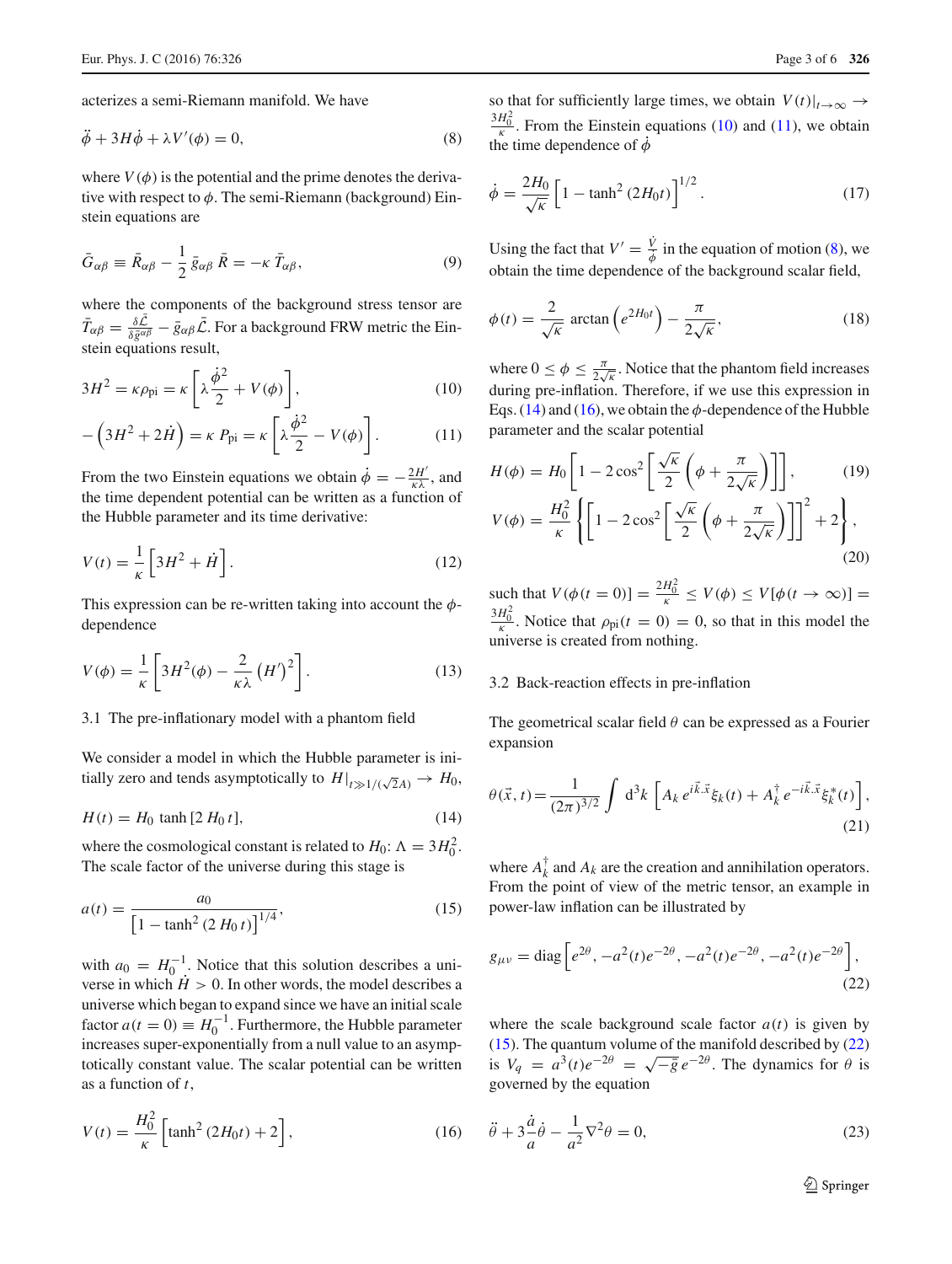acterizes a semi-Riemann manifold. We have

$$
\ddot{\phi} + 3H\dot{\phi} + \lambda V'(\phi) = 0,\tag{8}
$$

where  $V(\phi)$  is the potential and the prime denotes the derivative with respect to  $\phi$ . The semi-Riemann (background) Einstein equations are

$$
\bar{G}_{\alpha\beta} \equiv \bar{R}_{\alpha\beta} - \frac{1}{2} \bar{g}_{\alpha\beta} \,\bar{R} = -\kappa \,\bar{T}_{\alpha\beta},\tag{9}
$$

where the components of the background stress tensor are  $\bar{T}_{\alpha\beta} = \frac{\delta \mathcal{L}}{\delta \bar{g}^{\alpha\beta}} - \bar{g}_{\alpha\beta} \bar{\mathcal{L}}$ . For a background FRW metric the Einstein equations result,

<span id="page-2-0"></span>
$$
3H^2 = \kappa \rho_{\rm pi} = \kappa \left[ \lambda \frac{\dot{\phi}^2}{2} + V(\phi) \right],\tag{10}
$$

$$
-\left(3H^2 + 2\dot{H}\right) = \kappa P_{\text{pi}} = \kappa \left[\lambda \frac{\dot{\phi}^2}{2} - V(\phi)\right].\tag{11}
$$

From the two Einstein equations we obtain  $\dot{\phi} = -\frac{2H'}{\kappa \lambda}$ , and the time dependent potential can be written as a function of the Hubble parameter and its time derivative:

$$
V(t) = \frac{1}{\kappa} \left[ 3H^2 + \dot{H} \right].
$$
 (12)

This expression can be re-written taking into account the  $\phi$ dependence

$$
V(\phi) = \frac{1}{\kappa} \left[ 3H^2(\phi) - \frac{2}{\kappa \lambda} (H')^2 \right].
$$
 (13)

#### 3.1 The pre-inflationary model with a phantom field

We consider a model in which the Hubble parameter is initially zero and tends asymptotically to  $H|_{t\gg 1/(\sqrt{2}A)} \to H_0$ ,

<span id="page-2-2"></span>
$$
H(t) = H_0 \tanh [2 H_0 t],
$$
\n(14)

where the cosmological constant is related to  $H_0$ :  $\Lambda = 3H_0^2$ . The scale factor of the universe during this stage is

$$
a(t) = \frac{a_0}{\left[1 - \tanh^2\left(2\,H_0\,t\right)\right]^{1/4}},\tag{15}
$$

with  $a_0 = H_0^{-1}$ . Notice that this solution describes a universe in which  $\dot{H} > 0$ . In other words, the model describes a universe which began to expand since we have an initial scale factor  $a(t = 0) \equiv H_0^{-1}$ . Furthermore, the Hubble parameter increases super-exponentially from a null value to an asymptotically constant value. The scalar potential can be written as a function of *t*,

<span id="page-2-3"></span>
$$
V(t) = \frac{H_0^2}{\kappa} \left[ \tanh^2 (2H_0 t) + 2 \right],
$$
 (16)

<span id="page-2-1"></span>so that for sufficiently large times, we obtain  $V(t)|_{t\to\infty} \to$  $\frac{3H_0^2}{\kappa}$ . From the Einstein equations [\(10\)](#page-2-0) and [\(11\)](#page-2-0), we obtain the time dependence of  $\dot{\phi}$ 

$$
\dot{\phi} = \frac{2H_0}{\sqrt{\kappa}} \left[ 1 - \tanh^2 \left( 2H_0 t \right) \right]^{1/2} . \tag{17}
$$

Using the fact that  $V' = \frac{V}{\dot{\phi}}$  in the equation of motion [\(8\)](#page-2-1), we obtain the time dependence of the background scalar field,

$$
\phi(t) = \frac{2}{\sqrt{\kappa}} \arctan\left(e^{2H_0 t}\right) - \frac{\pi}{2\sqrt{\kappa}},\tag{18}
$$

where  $0 \le \phi \le \frac{\pi}{2\sqrt{\kappa}}$ . Notice that the phantom field increases during pre-inflation. Therefore, if we use this expression in Eqs. [\(14\)](#page-2-2) and [\(16\)](#page-2-3), we obtain the  $\phi$ -dependence of the Hubble parameter and the scalar potential

$$
H(\phi) = H_0 \left[ 1 - 2\cos^2 \left[ \frac{\sqrt{\kappa}}{2} \left( \phi + \frac{\pi}{2\sqrt{\kappa}} \right) \right] \right],
$$
 (19)  

$$
V(\phi) = \frac{H_0^2}{\kappa} \left\{ \left[ 1 - 2\cos^2 \left[ \frac{\sqrt{\kappa}}{2} \left( \phi + \frac{\pi}{2\sqrt{\kappa}} \right) \right] \right]^2 + 2 \right\},
$$
 (20)

such that  $V(\phi(t = 0)) = \frac{2H_0^2}{\kappa} \le V(\phi) \le V[\phi(t \to \infty)] =$  $\frac{3H_0^2}{\kappa}$ . Notice that  $\rho_{\text{pi}}(t=0) = 0$ , so that in this model the universe is created from nothing.

# 3.2 Back-reaction effects in pre-inflation

<span id="page-2-6"></span>The geometrical scalar field  $\theta$  can be expressed as a Fourier expansion

$$
\theta(\vec{x},t) = \frac{1}{(2\pi)^{3/2}} \int d^3k \left[ A_k e^{i\vec{k}.\vec{x}} \xi_k(t) + A_k^{\dagger} e^{-i\vec{k}.\vec{x}} \xi_k^*(t) \right],
$$
\n(21)

<span id="page-2-4"></span>where  $A_k^{\dagger}$  and  $A_k$  are the creation and annihilation operators. From the point of view of the metric tensor, an example in power-law inflation can be illustrated by

<span id="page-2-5"></span>
$$
g_{\mu\nu} = \text{diag}\left[e^{2\theta}, -a^2(t)e^{-2\theta}, -a^2(t)e^{-2\theta}, -a^2(t)e^{-2\theta}\right],\tag{22}
$$

where the scale background scale factor  $a(t)$  is given by [\(15\)](#page-2-4). The quantum volume of the manifold described by [\(22\)](#page-2-5) is  $V_q = a^3(t)e^{-2\theta} = \sqrt{-\overline{g}} e^{-2\theta}$ . The dynamics for  $\theta$  is governed by the equation

$$
\ddot{\theta} + 3\frac{\dot{a}}{a}\dot{\theta} - \frac{1}{a^2}\nabla^2\theta = 0,\tag{23}
$$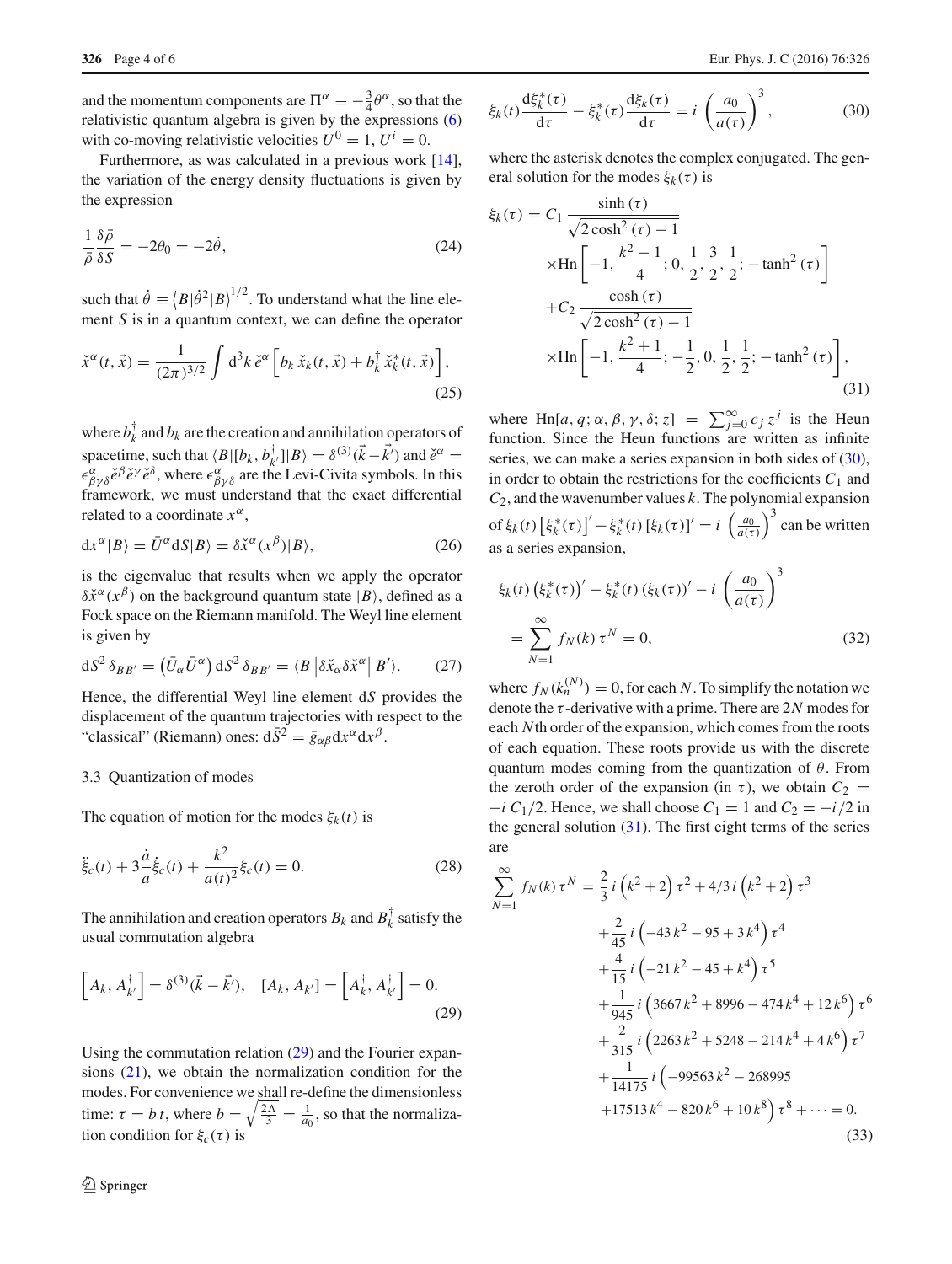and the momentum components are  $\Pi^{\alpha} \equiv -\frac{3}{4}\theta^{\alpha}$ , so that the relativistic quantum algebra is given by the expressions [\(6\)](#page-1-1) with co-moving relativistic velocities  $U^0 = 1$ ,  $U^i = 0$ .

Furthermore, as was calculated in a previous work [\[14](#page-5-9)], the variation of the energy density fluctuations is given by the expression

$$
\frac{1}{\bar{\rho}} \frac{\delta \bar{\rho}}{\delta S} = -2\theta_0 = -2\dot{\theta},\tag{24}
$$

such that  $\dot{\theta} \equiv \langle B|\dot{\theta}^2|B\rangle^{1/2}$ . To understand what the line element *S* is in a quantum context, we can define the operator

$$
\check{x}^{\alpha}(t,\vec{x}) = \frac{1}{(2\pi)^{3/2}} \int d^3k \, \check{e}^{\alpha} \left[ b_k \, \check{x}_k(t,\vec{x}) + b_k^{\dagger} \, \check{x}_k^*(t,\vec{x}) \right],\tag{25}
$$

where  $b_k^{\dagger}$  and  $b_k$  are the creation and annihilation operators of spacetime, such that  $\langle B | [b_k, b_{k'}^{\dagger}] | B \rangle = \delta^{(3)}(\vec{k} - \vec{k}')$  and  $\check{e}^{\alpha} =$  $\epsilon^{\alpha}_{\beta\gamma\delta}$  *ě<sup>o</sup> e*<sup>*o*</sup>, where  $\epsilon^{\alpha}_{\beta\gamma\delta}$  are the Levi-Civita symbols. In this framework, we must understand that the exact differential related to a coordinate  $x^{\alpha}$ ,

$$
dx^{\alpha}|B\rangle = \bar{U}^{\alpha}dS|B\rangle = \delta \tilde{x}^{\alpha}(x^{\beta})|B\rangle, \qquad (26)
$$

is the eigenvalue that results when we apply the operator  $\delta \check{x}^{\alpha}(x^{\beta})$  on the background quantum state  $|B\rangle$ , defined as a Fock space on the Riemann manifold. The Weyl line element is given by

$$
dS^2 \delta_{BB'} = (\bar{U}_{\alpha} \bar{U}^{\alpha}) dS^2 \delta_{BB'} = \langle B | \delta \check{x}_{\alpha} \delta \check{x}^{\alpha} | B' \rangle. \tag{27}
$$

Hence, the differential Weyl line element d*S* provides the displacement of the quantum trajectories with respect to the "classical" (Riemann) ones:  $d\bar{S}^2 = \bar{g}_{\alpha\beta}dx^{\alpha}dx^{\beta}$ .

#### 3.3 Quantization of modes

The equation of motion for the modes  $\xi_k(t)$  is

$$
\ddot{\xi}_c(t) + 3\frac{\dot{a}}{a}\dot{\xi}_c(t) + \frac{k^2}{a(t)^2}\xi_c(t) = 0.
$$
 (28)

<span id="page-3-0"></span>The annihilation and creation operators  $B_k$  and  $B_k^{\dagger}$  satisfy the usual commutation algebra

$$
\[A_k, A_{k'}^\dagger\] = \delta^{(3)}(\vec{k} - \vec{k}'), \quad [A_k, A_{k'}] = \left[A_k^\dagger, A_{k'}^\dagger\right] = 0. \tag{29}
$$

<span id="page-3-1"></span>Using the commutation relation [\(29\)](#page-3-0) and the Fourier expansions [\(21\)](#page-2-6), we obtain the normalization condition for the modes. For convenience we shall re-define the dimensionless time:  $\tau = b \, t$ , where  $b = \sqrt{\frac{2\Lambda}{3}} = \frac{1}{a_0}$ , so that the normalization condition for  $\xi_c(\tau)$  is

$$
\xi_k(t) \frac{\mathrm{d}\xi_k^*(\tau)}{\mathrm{d}\tau} - \xi_k^*(\tau) \frac{\mathrm{d}\xi_k(\tau)}{\mathrm{d}\tau} = i \left(\frac{a_0}{a(\tau)}\right)^3,\tag{30}
$$

where the asterisk denotes the complex conjugated. The general solution for the modes  $\xi_k(\tau)$  is

<span id="page-3-2"></span>
$$
\xi_k(\tau) = C_1 \frac{\sinh(\tau)}{\sqrt{2\cosh^2(\tau) - 1}}
$$
  
 
$$
\times \text{Hn} \left[ -1, \frac{k^2 - 1}{4}; 0, \frac{1}{2}, \frac{3}{2}; \frac{1}{2}; -\tanh^2(\tau) \right]
$$
  
+
$$
C_2 \frac{\cosh(\tau)}{\sqrt{2\cosh^2(\tau) - 1}}
$$
  

$$
\times \text{Hn} \left[ -1, \frac{k^2 + 1}{4}; -\frac{1}{2}, 0, \frac{1}{2}, \frac{1}{2}; -\tanh^2(\tau) \right],
$$
  
(31)

where Hn[*a*, *q*;  $\alpha$ ,  $\beta$ ,  $\gamma$ ,  $\delta$ ; *z*] =  $\sum_{j=0}^{\infty} c_j z^j$  is the Heun function. Since the Heun functions are written as infinite series, we can make a series expansion in both sides of [\(30\)](#page-3-1). in order to obtain the restrictions for the coefficients  $C_1$  and *C*2, and the wavenumber values *k*. The polynomial expansion of  $\xi_k(t)$   $\left[\xi_k^*(\tau)\right]' - \xi_k^*(t)$   $\left[\xi_k(\tau)\right]' = i \left(\frac{a_0}{a(\tau)}\right)^3$  can be written as a series expansion,

$$
\xi_k(t) \left(\xi_k^*(\tau)\right)' - \xi_k^*(t) \left(\xi_k(\tau)\right)' - i \left(\frac{a_0}{a(\tau)}\right)^3
$$

$$
= \sum_{N=1}^{\infty} f_N(k) \tau^N = 0,
$$
 (32)

where  $f_N(k_n^{(N)}) = 0$ , for each *N*. To simplify the notation we denote the τ -derivative with a prime. There are 2*N* modes for each *N*th order of the expansion, which comes from the roots of each equation. These roots provide us with the discrete quantum modes coming from the quantization of  $\theta$ . From the zeroth order of the expansion (in  $\tau$ ), we obtain  $C_2$  =  $-i C_1/2$ . Hence, we shall choose  $C_1 = 1$  and  $C_2 = -i/2$  in the general solution  $(31)$ . The first eight terms of the series are

<span id="page-3-3"></span>
$$
\sum_{N=1}^{\infty} f_N(k) \tau^N = \frac{2}{3} i \left(k^2 + 2\right) \tau^2 + 4/3 i \left(k^2 + 2\right) \tau^3
$$
  
+  $\frac{2}{45} i \left(-43 k^2 - 95 + 3 k^4\right) \tau^4$   
+  $\frac{4}{15} i \left(-21 k^2 - 45 + k^4\right) \tau^5$   
+  $\frac{1}{945} i \left(3667 k^2 + 8996 - 474 k^4 + 12 k^6\right) \tau^6$   
+  $\frac{2}{315} i \left(2263 k^2 + 5248 - 214 k^4 + 4 k^6\right) \tau^7$   
+  $\frac{1}{14175} i \left(-99563 k^2 - 268995$   
+17513 k<sup>4</sup> - 820 k<sup>6</sup> + 10 k<sup>8</sup>\right) \tau^8 + \cdots = 0. (33)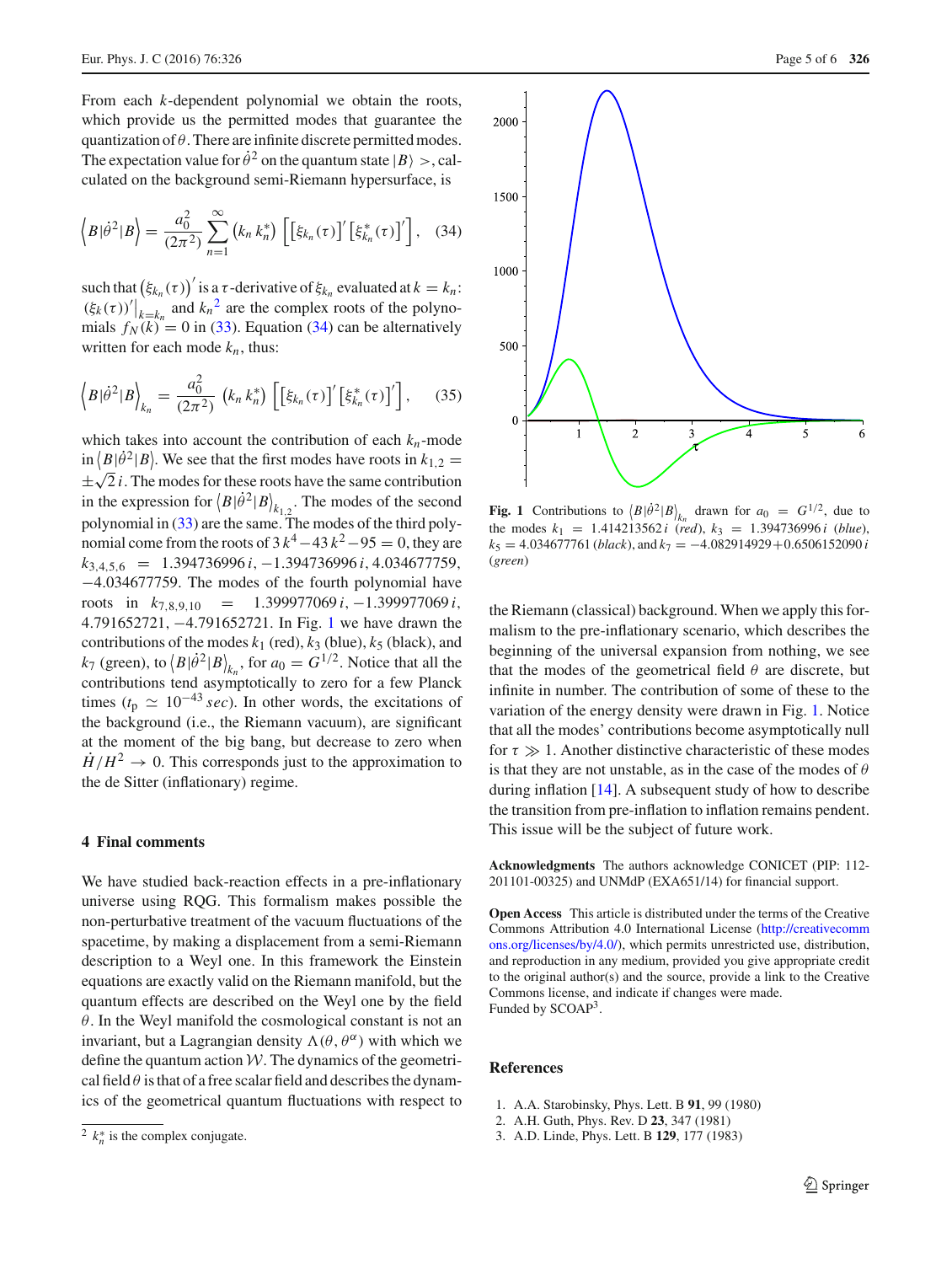From each *k*-dependent polynomial we obtain the roots, which provide us the permitted modes that guarantee the quantization of  $\theta$ . There are infinite discrete permitted modes. The expectation value for  $\dot{\theta}^2$  on the quantum state  $|B\rangle >$ , calculated on the background semi-Riemann hypersurface, is

$$
\langle B|\dot{\theta}^2|B\rangle = \frac{a_0^2}{(2\pi^2)}\sum_{n=1}^{\infty} (k_n k_n^*) \left[ \left[\xi_{k_n}(\tau)\right]' \left[\xi_{k_n}^*(\tau)\right]'\right], \quad (34)
$$

such that  $(\xi_{k_n}(\tau))'$  is a  $\tau$ -derivative of  $\xi_{k_n}$  evaluated at  $k = k_n$ :  $(\xi_k(\tau))^{\prime}|_{k=k_n}$  and  $k_n^2$  $k_n^2$  are the complex roots of the polynomials  $f_N(k) = 0$  in [\(33\)](#page-3-3). Equation [\(34\)](#page-4-3) can be alternatively written for each mode  $k_n$ , thus:

$$
\langle B|\dot{\theta}^{2}|B\rangle_{k_{n}} = \frac{a_{0}^{2}}{(2\pi^{2})}\,\left(k_{n}\,k_{n}^{*}\right)\,\left[\left[\xi_{k_{n}}(\tau)\right]'\left[\xi_{k_{n}}^{*}(\tau)\right]'\right],\qquad(35)
$$

which takes into account the contribution of each  $k_n$ -mode  $\sin \left( \frac{B}{\theta^2} \middle| B \right)$ . We see that the first modes have roots in  $k_{1,2} =$  $\pm \sqrt{2} i$ . The modes for these roots have the same contribution in the expression for  $\langle B|\dot{\theta}^2|B\rangle_{k_{1,2}}$ . The modes of the second polynomial in  $(33)$  are the same. The modes of the third polynomial come from the roots of  $3k^4-43k^2-95=0$ , they are *k*3,4,5,<sup>6</sup> = 1.394736996 *i*, −1.394736996 *i*, 4.034677759, −4.034677759. The modes of the fourth polynomial have roots in *k*7,8,9,<sup>10</sup> = 1.399977069 *i*, −1.399977069 *i*, 4.791652721, −4.791652721. In Fig. [1](#page-4-4) we have drawn the contributions of the modes  $k_1$  (red),  $k_3$  (blue),  $k_5$  (black), and  $k_7$  (green), to  $\langle B|\dot{\theta}^2|B\rangle_{k_n}$ , for  $a_0 = G^{1/2}$ . Notice that all the contributions tend asymptotically to zero for a few Planck times ( $t_p \simeq 10^{-43}$  *sec*). In other words, the excitations of the background (i.e., the Riemann vacuum), are significant at the moment of the big bang, but decrease to zero when  $H/H^2 \to 0$ . This corresponds just to the approximation to the de Sitter (inflationary) regime.

# **4 Final comments**

We have studied back-reaction effects in a pre-inflationary universe using RQG. This formalism makes possible the non-perturbative treatment of the vacuum fluctuations of the spacetime, by making a displacement from a semi-Riemann description to a Weyl one. In this framework the Einstein equations are exactly valid on the Riemann manifold, but the quantum effects are described on the Weyl one by the field  $\theta$ . In the Weyl manifold the cosmological constant is not an invariant, but a Lagrangian density  $\Lambda(\theta, \theta^{\alpha})$  with which we define the quantum action *W*. The dynamics of the geometrical field  $\theta$  is that of a free scalar field and describes the dynamics of the geometrical quantum fluctuations with respect to

<span id="page-4-3"></span>

<span id="page-4-4"></span>**Fig. 1** Contributions to  $\langle B|\hat{\theta}^2|B\rangle_{k_n}$  drawn for  $a_0 = G^{1/2}$ , due to the modes  $k_1 = 1.414213562 i$  (*red*),  $k_3 = 1.394736996 i$  (*blue*),  $k_5 = 4.034677761$  (*black*), and  $k_7 = -4.082914929 + 0.6506152090$  *i* (*green*)

the Riemann (classical) background. When we apply this formalism to the pre-inflationary scenario, which describes the beginning of the universal expansion from nothing, we see that the modes of the geometrical field  $\theta$  are discrete, but infinite in number. The contribution of some of these to the variation of the energy density were drawn in Fig. [1.](#page-4-4) Notice that all the modes' contributions become asymptotically null for  $\tau \gg 1$ . Another distinctive characteristic of these modes is that they are not unstable, as in the case of the modes of  $\theta$ during inflation [\[14](#page-5-9)]. A subsequent study of how to describe the transition from pre-inflation to inflation remains pendent. This issue will be the subject of future work.

**Acknowledgments** The authors acknowledge CONICET (PIP: 112- 201101-00325) and UNMdP (EXA651/14) for financial support.

**Open Access** This article is distributed under the terms of the Creative Commons Attribution 4.0 International License [\(http://creativecomm](http://creativecommons.org/licenses/by/4.0/) [ons.org/licenses/by/4.0/\)](http://creativecommons.org/licenses/by/4.0/), which permits unrestricted use, distribution, and reproduction in any medium, provided you give appropriate credit to the original author(s) and the source, provide a link to the Creative Commons license, and indicate if changes were made. Funded by SCOAP3.

#### **References**

- <span id="page-4-0"></span>1. A.A. Starobinsky, Phys. Lett. B **91**, 99 (1980)
- 2. A.H. Guth, Phys. Rev. D **23**, 347 (1981)
- <span id="page-4-1"></span>3. A.D. Linde, Phys. Lett. B **129**, 177 (1983)

<span id="page-4-2"></span> $2 k_n^*$  is the complex conjugate.